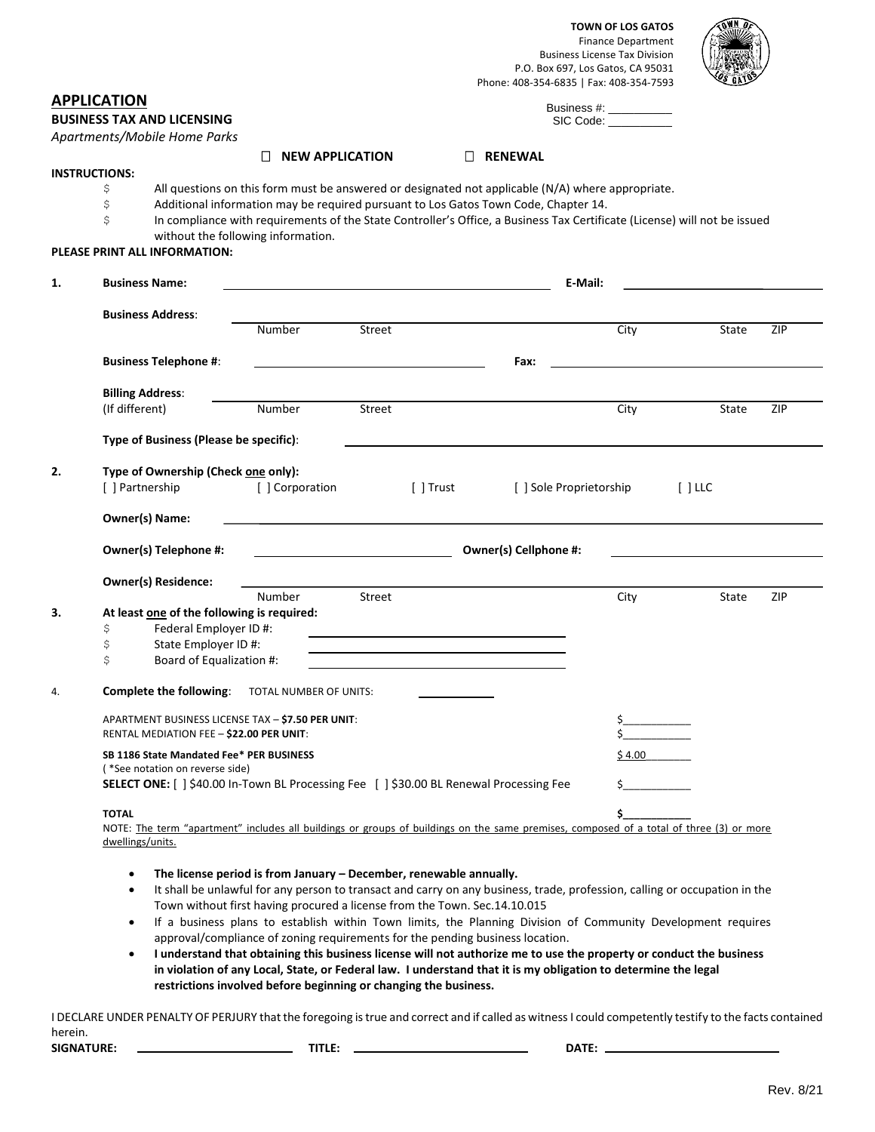

|    |                                                                                                                                                                                                                              |                                                                           |        | Phone: 408-354-6835   Fax: 408-354-7593                                                   | P.O. Box 697, Los Gatos, CA 95031                                                                                          |                     |
|----|------------------------------------------------------------------------------------------------------------------------------------------------------------------------------------------------------------------------------|---------------------------------------------------------------------------|--------|-------------------------------------------------------------------------------------------|----------------------------------------------------------------------------------------------------------------------------|---------------------|
|    | <b>APPLICATION</b><br><b>BUSINESS TAX AND LICENSING</b><br>Apartments/Mobile Home Parks                                                                                                                                      |                                                                           |        |                                                                                           | Business #: __________<br>SIC Code:                                                                                        |                     |
|    |                                                                                                                                                                                                                              | <b>NEW APPLICATION</b><br>$\Box$                                          |        | $\Box$ RENEWAL                                                                            |                                                                                                                            |                     |
|    | <b>INSTRUCTIONS:</b>                                                                                                                                                                                                         |                                                                           |        |                                                                                           |                                                                                                                            |                     |
|    | All questions on this form must be answered or designated not applicable (N/A) where appropriate.<br>Ş                                                                                                                       |                                                                           |        |                                                                                           |                                                                                                                            |                     |
|    | \$<br>Additional information may be required pursuant to Los Gatos Town Code, Chapter 14.<br>\$<br>In compliance with requirements of the State Controller's Office, a Business Tax Certificate (License) will not be issued |                                                                           |        |                                                                                           |                                                                                                                            |                     |
|    | PLEASE PRINT ALL INFORMATION:                                                                                                                                                                                                | without the following information.                                        |        |                                                                                           |                                                                                                                            |                     |
| 1. | <b>Business Name:</b>                                                                                                                                                                                                        |                                                                           |        | the control of the control of the control of the control of the control of the control of | E-Mail:                                                                                                                    |                     |
|    | <b>Business Address:</b>                                                                                                                                                                                                     |                                                                           |        |                                                                                           |                                                                                                                            |                     |
|    |                                                                                                                                                                                                                              | Number                                                                    | Street |                                                                                           | City                                                                                                                       | ZIP<br>State        |
|    | <b>Business Telephone #:</b>                                                                                                                                                                                                 |                                                                           |        | Fax:                                                                                      |                                                                                                                            |                     |
|    |                                                                                                                                                                                                                              |                                                                           |        |                                                                                           |                                                                                                                            |                     |
|    | <b>Billing Address:</b><br>(If different)                                                                                                                                                                                    | Number                                                                    | Street |                                                                                           | City                                                                                                                       | State<br><b>ZIP</b> |
|    |                                                                                                                                                                                                                              |                                                                           |        |                                                                                           |                                                                                                                            |                     |
|    | Type of Business (Please be specific):                                                                                                                                                                                       |                                                                           |        |                                                                                           |                                                                                                                            |                     |
| 2. | Type of Ownership (Check one only):                                                                                                                                                                                          |                                                                           |        |                                                                                           |                                                                                                                            |                     |
|    | [] Partnership                                                                                                                                                                                                               | [ ] Corporation                                                           |        | [ ] Trust                                                                                 | [ ] Sole Proprietorship                                                                                                    | $[$ ] LLC           |
|    | Owner(s) Name:                                                                                                                                                                                                               |                                                                           |        |                                                                                           |                                                                                                                            |                     |
|    | Owner(s) Telephone #:                                                                                                                                                                                                        |                                                                           |        |                                                                                           | Owner(s) Cellphone #:                                                                                                      |                     |
|    | <b>Owner(s) Residence:</b>                                                                                                                                                                                                   |                                                                           |        |                                                                                           |                                                                                                                            |                     |
|    |                                                                                                                                                                                                                              | Number                                                                    | Street |                                                                                           | City                                                                                                                       | ZIP<br>State        |
| 3. | At least one of the following is required:                                                                                                                                                                                   |                                                                           |        |                                                                                           |                                                                                                                            |                     |
|    | Federal Employer ID #:<br>\$<br>\$<br>State Employer ID #:                                                                                                                                                                   |                                                                           |        |                                                                                           |                                                                                                                            |                     |
|    | \$<br>Board of Equalization #:                                                                                                                                                                                               |                                                                           |        |                                                                                           |                                                                                                                            |                     |
| 4. | Complete the following:                                                                                                                                                                                                      | TOTAL NUMBER OF UNITS:                                                    |        |                                                                                           |                                                                                                                            |                     |
|    |                                                                                                                                                                                                                              |                                                                           |        |                                                                                           |                                                                                                                            |                     |
|    | APARTMENT BUSINESS LICENSE TAX - \$7.50 PER UNIT:<br>RENTAL MEDIATION FEE - \$22.00 PER UNIT:                                                                                                                                |                                                                           |        |                                                                                           |                                                                                                                            |                     |
|    | SB 1186 State Mandated Fee* PER BUSINESS                                                                                                                                                                                     |                                                                           |        |                                                                                           | \$ 4.00                                                                                                                    |                     |
|    | (*See notation on reverse side)<br>SELECT ONE: [ ] \$40.00 In-Town BL Processing Fee [ ] \$30.00 BL Renewal Processing Fee                                                                                                   |                                                                           |        |                                                                                           |                                                                                                                            |                     |
|    |                                                                                                                                                                                                                              |                                                                           |        |                                                                                           |                                                                                                                            |                     |
|    | <b>TOTAL</b>                                                                                                                                                                                                                 |                                                                           |        |                                                                                           |                                                                                                                            |                     |
|    | NOTE: The term "apartment" includes all buildings or groups of buildings on the same premises, composed of a total of three (3) or more                                                                                      |                                                                           |        |                                                                                           |                                                                                                                            |                     |
|    | dwellings/units.                                                                                                                                                                                                             |                                                                           |        |                                                                                           |                                                                                                                            |                     |
|    | $\bullet$                                                                                                                                                                                                                    | The license period is from January – December, renewable annually.        |        |                                                                                           |                                                                                                                            |                     |
|    | $\bullet$                                                                                                                                                                                                                    |                                                                           |        |                                                                                           | It shall be unlawful for any person to transact and carry on any business, trade, profession, calling or occupation in the |                     |
|    |                                                                                                                                                                                                                              | Town without first having procured a license from the Town. Sec.14.10.015 |        |                                                                                           |                                                                                                                            |                     |
|    | $\bullet$                                                                                                                                                                                                                    |                                                                           |        |                                                                                           | If a business plans to establish within Town limits, the Planning Division of Community Development requires               |                     |

approval/compliance of zoning requirements for the pending business location. • **I understand that obtaining this business license will not authorize me to use the property or conduct the business** 

**in violation of any Local, State, or Federal law. I understand that it is my obligation to determine the legal restrictions involved before beginning or changing the business.** 

I DECLARE UNDER PENALTY OF PERJURY that the foregoing is true and correct and if called as witness I could competently testify to the facts contained herein. **SIGNATURE: TITLE: DATE:**